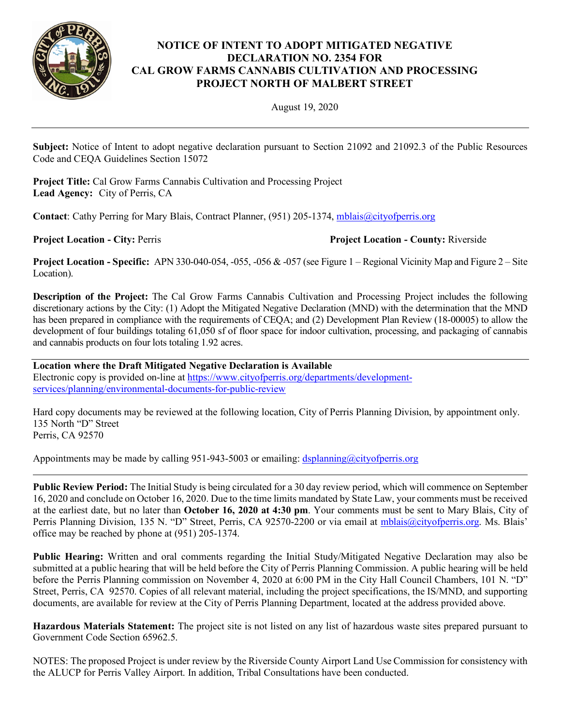

## **NOTICE OF INTENT TO ADOPT MITIGATED NEGATIVE DECLARATION NO. 2354 FOR CAL GROW FARMS CANNABIS CULTIVATION AND PROCESSING PROJECT NORTH OF MALBERT STREET**

August 19, 2020

**Subject:** Notice of Intent to adopt negative declaration pursuant to Section 21092 and 21092.3 of the Public Resources Code and CEQA Guidelines Section 15072

**Project Title:** Cal Grow Farms Cannabis Cultivation and Processing Project **Lead Agency:** City of Perris, CA

Contact: Cathy Perring for Mary Blais, Contract Planner, (951) 205-1374, *mblais@cityofperris.org* 

**Project Location - City:** Perris **Project Location - County:** Riverside

**Project Location - Specific:** APN 330-040-054, -055, -056 & -057 (see Figure 1 – Regional Vicinity Map and Figure 2 – Site Location).

**Description of the Project:** The Cal Grow Farms Cannabis Cultivation and Processing Project includes the following discretionary actions by the City: (1) Adopt the Mitigated Negative Declaration (MND) with the determination that the MND has been prepared in compliance with the requirements of CEOA; and (2) Development Plan Review (18-00005) to allow the development of four buildings totaling 61,050 sf of floor space for indoor cultivation, processing, and packaging of cannabis and cannabis products on four lots totaling 1.92 acres.

**Location where the Draft Mitigated Negative Declaration is Available** Electronic copy is provided on-line at https://www.cityofperris.org/departments/developmentservices/planning/environmental-documents-for-public-review

Hard copy documents may be reviewed at the following location, City of Perris Planning Division, by appointment only. 135 North "D" Street Perris, CA 92570

Appointments may be made by calling 951-943-5003 or emailing: dsplanning@cityofperris.org

**Public Review Period:** The Initial Study is being circulated for a 30 day review period, which will commence on September 16, 2020 and conclude on October 16, 2020. Due to the time limits mandated by State Law, your comments must be received at the earliest date, but no later than **October 16, 2020 at 4:30 pm**. Your comments must be sent to Mary Blais, City of Perris Planning Division, 135 N. "D" Street, Perris, CA 92570-2200 or via email at *mblais@cityofperris.org*. Ms. Blais' office may be reached by phone at (951) 205-1374.

**Public Hearing:** Written and oral comments regarding the Initial Study/Mitigated Negative Declaration may also be submitted at a public hearing that will be held before the City of Perris Planning Commission. A public hearing will be held before the Perris Planning commission on November 4, 2020 at 6:00 PM in the City Hall Council Chambers, 101 N. "D" Street, Perris, CA 92570. Copies of all relevant material, including the project specifications, the IS/MND, and supporting documents, are available for review at the City of Perris Planning Department, located at the address provided above.

**Hazardous Materials Statement:** The project site is not listed on any list of hazardous waste sites prepared pursuant to Government Code Section 65962.5.

NOTES: The proposed Project is under review by the Riverside County Airport Land Use Commission for consistency with the ALUCP for Perris Valley Airport. In addition, Tribal Consultations have been conducted.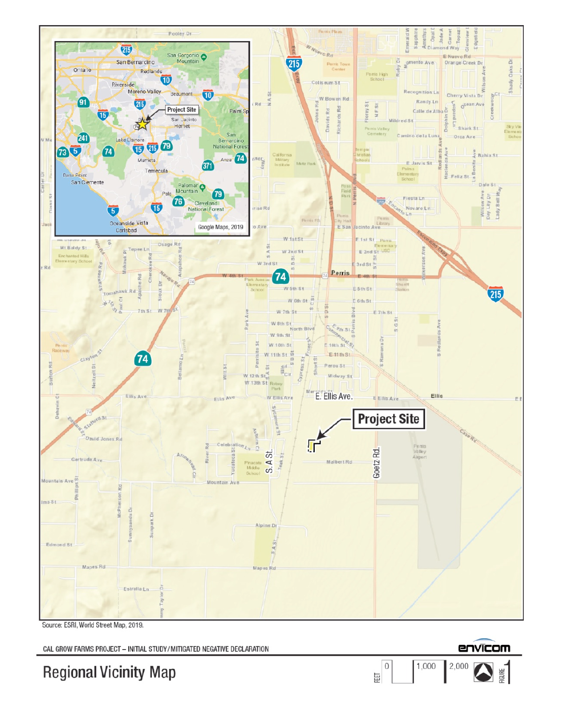

CAL GROW FARMS PROJECT - INITIAL STUDY/MITIGATED NEGATIVE DECLARATION

## **Regional Vicinity Map**



**FIGURE** 

2,000

 $\mathbf 0$ 

 $\boxplus$ 

1,000